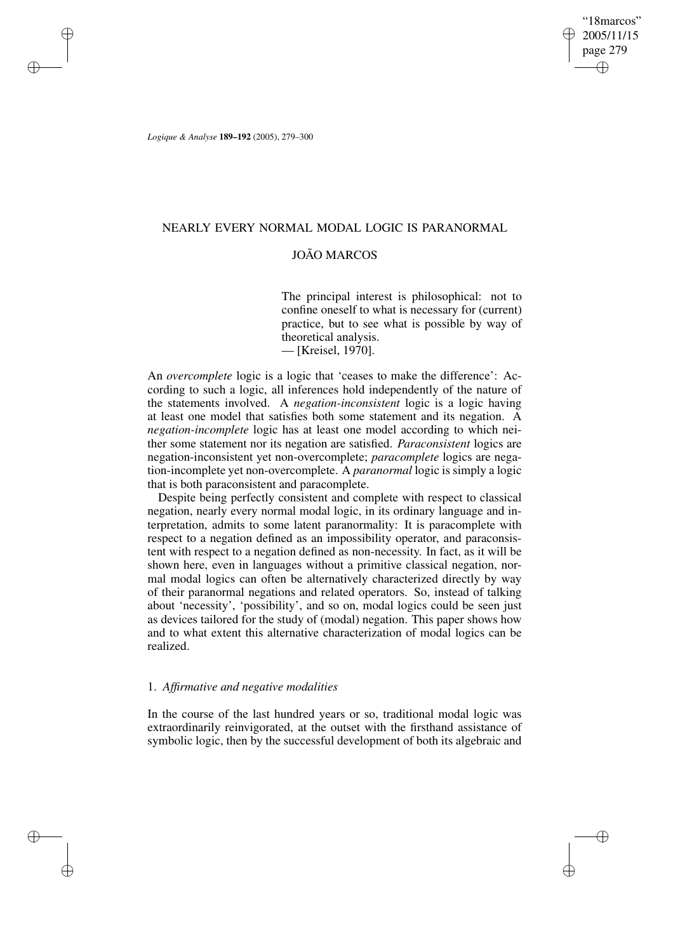"18marcos" 2005/11/15 page 279 ✐ ✐

✐

✐

*Logique & Analyse* **189–192** (2005), 279–300

✐

✐

✐

✐

## NEARLY EVERY NORMAL MODAL LOGIC IS PARANORMAL

# JOÃO MARCOS

The principal interest is philosophical: not to confine oneself to what is necessary for (current) practice, but to see what is possible by way of theoretical analysis.

— [Kreisel, 1970].

An *overcomplete* logic is a logic that 'ceases to make the difference': According to such a logic, all inferences hold independently of the nature of the statements involved. A *negation-inconsistent* logic is a logic having at least one model that satisfies both some statement and its negation. A *negation-incomplete* logic has at least one model according to which neither some statement nor its negation are satisfied. *Paraconsistent* logics are negation-inconsistent yet non-overcomplete; *paracomplete* logics are negation-incomplete yet non-overcomplete. A *paranormal* logic is simply a logic that is both paraconsistent and paracomplete.

Despite being perfectly consistent and complete with respect to classical negation, nearly every normal modal logic, in its ordinary language and interpretation, admits to some latent paranormality: It is paracomplete with respect to a negation defined as an impossibility operator, and paraconsistent with respect to a negation defined as non-necessity. In fact, as it will be shown here, even in languages without a primitive classical negation, normal modal logics can often be alternatively characterized directly by way of their paranormal negations and related operators. So, instead of talking about 'necessity', 'possibility', and so on, modal logics could be seen just as devices tailored for the study of (modal) negation. This paper shows how and to what extent this alternative characterization of modal logics can be realized.

## 1. *Affirmative and negative modalities*

In the course of the last hundred years or so, traditional modal logic was extraordinarily reinvigorated, at the outset with the firsthand assistance of symbolic logic, then by the successful development of both its algebraic and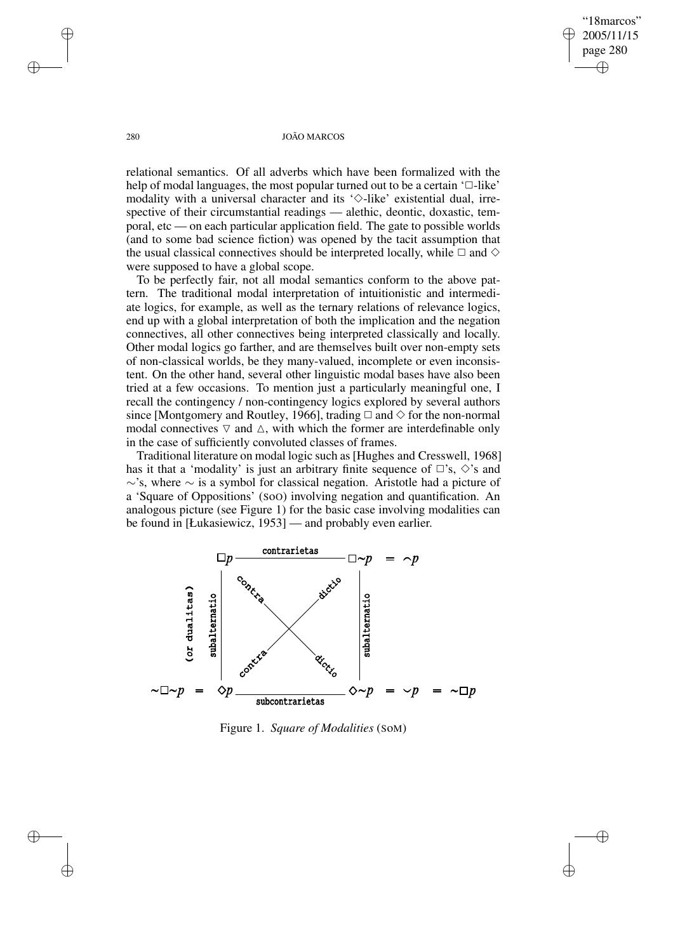"18marcos" 2005/11/15 page 280 ✐ ✐

✐

✐

#### 280 JOÃO MARCOS

relational semantics. Of all adverbs which have been formalized with the help of modal languages, the most popular turned out to be a certain  $\Box$ -like' modality with a universal character and its ' $\diamond$ -like' existential dual, irrespective of their circumstantial readings — alethic, deontic, doxastic, temporal, etc — on each particular application field. The gate to possible worlds (and to some bad science fiction) was opened by the tacit assumption that the usual classical connectives should be interpreted locally, while  $\Box$  and  $\diamond$ were supposed to have a global scope.

To be perfectly fair, not all modal semantics conform to the above pattern. The traditional modal interpretation of intuitionistic and intermediate logics, for example, as well as the ternary relations of relevance logics, end up with a global interpretation of both the implication and the negation connectives, all other connectives being interpreted classically and locally. Other modal logics go farther, and are themselves built over non-empty sets of non-classical worlds, be they many-valued, incomplete or even inconsistent. On the other hand, several other linguistic modal bases have also been tried at a few occasions. To mention just a particularly meaningful one, I recall the contingency / non-contingency logics explored by several authors since [Montgomery and Routley, 1966], trading  $\Box$  and  $\diamondsuit$  for the non-normal modal connectives  $\nabla$  and  $\Delta$ , with which the former are interdefinable only in the case of sufficiently convoluted classes of frames.

Traditional literature on modal logic such as[Hughes and Cresswell, 1968] has it that a 'modality' is just an arbitrary finite sequence of  $\Box$ 's,  $\diamond$ 's and ∼'s, where ∼ is a symbol for classical negation. Aristotle had a picture of a 'Square of Oppositions' (SoO) involving negation and quantification. An analogous picture (see Figure 1) for the basic case involving modalities can be found in [Łukasiewicz, 1953] — and probably even earlier.



Figure 1. *Square of Modalities* (SoM)

✐

✐

✐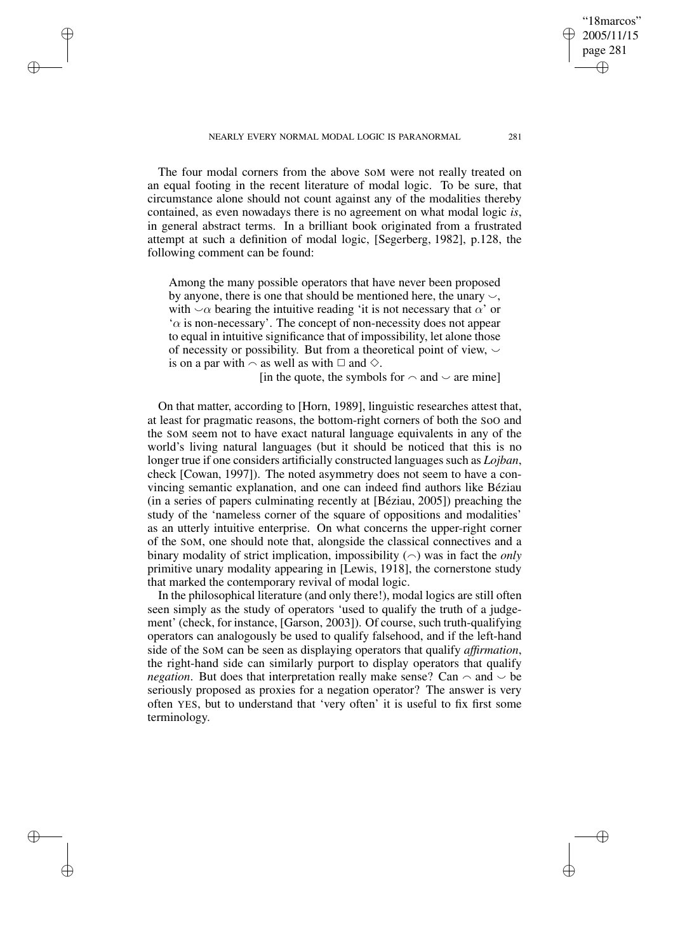NEARLY EVERY NORMAL MODAL LOGIC IS PARANORMAL 281

✐

✐

✐

✐

The four modal corners from the above SoM were not really treated on an equal footing in the recent literature of modal logic. To be sure, that circumstance alone should not count against any of the modalities thereby contained, as even nowadays there is no agreement on what modal logic *is*, in general abstract terms. In a brilliant book originated from a frustrated attempt at such a definition of modal logic, [Segerberg, 1982], p.128, the following comment can be found:

Among the many possible operators that have never been proposed by anyone, there is one that should be mentioned here, the unary  $\sim$ , with  $\sim \alpha$  bearing the intuitive reading 'it is not necessary that  $\alpha'$  or  $\alpha$  is non-necessary'. The concept of non-necessity does not appear to equal in intuitive significance that of impossibility, let alone those of necessity or possibility. But from a theoretical point of view,  $\sim$ is on a par with  $\sim$  as well as with  $\Box$  and  $\diamond$ .

[in the quote, the symbols for  $\sim$  and  $\sim$  are mine]

On that matter, according to [Horn, 1989], linguistic researches attest that, at least for pragmatic reasons, the bottom-right corners of both the SoO and the SoM seem not to have exact natural language equivalents in any of the world's living natural languages (but it should be noticed that this is no longer true if one considers artificially constructed languages such as *Lojban*, check [Cowan, 1997]). The noted asymmetry does not seem to have a convincing semantic explanation, and one can indeed find authors like Béziau (in a series of papers culminating recently at [Béziau, 2005]) preaching the study of the 'nameless corner of the square of oppositions and modalities' as an utterly intuitive enterprise. On what concerns the upper-right corner of the SoM, one should note that, alongside the classical connectives and a binary modality of strict implication, impossibility  $(\sim)$  was in fact the *only* primitive unary modality appearing in [Lewis, 1918], the cornerstone study that marked the contemporary revival of modal logic.

In the philosophical literature (and only there!), modal logics are still often seen simply as the study of operators 'used to qualify the truth of a judgement' (check, for instance, [Garson, 2003]). Of course, such truth-qualifying operators can analogously be used to qualify falsehood, and if the left-hand side of the SoM can be seen as displaying operators that qualify *affirmation*, the right-hand side can similarly purport to display operators that qualify *negation*. But does that interpretation really make sense? Can  $\sim$  and  $\sim$  be seriously proposed as proxies for a negation operator? The answer is very often YES, but to understand that 'very often' it is useful to fix first some terminology.

"18marcos" 2005/11/15 page 281

✐

✐

✐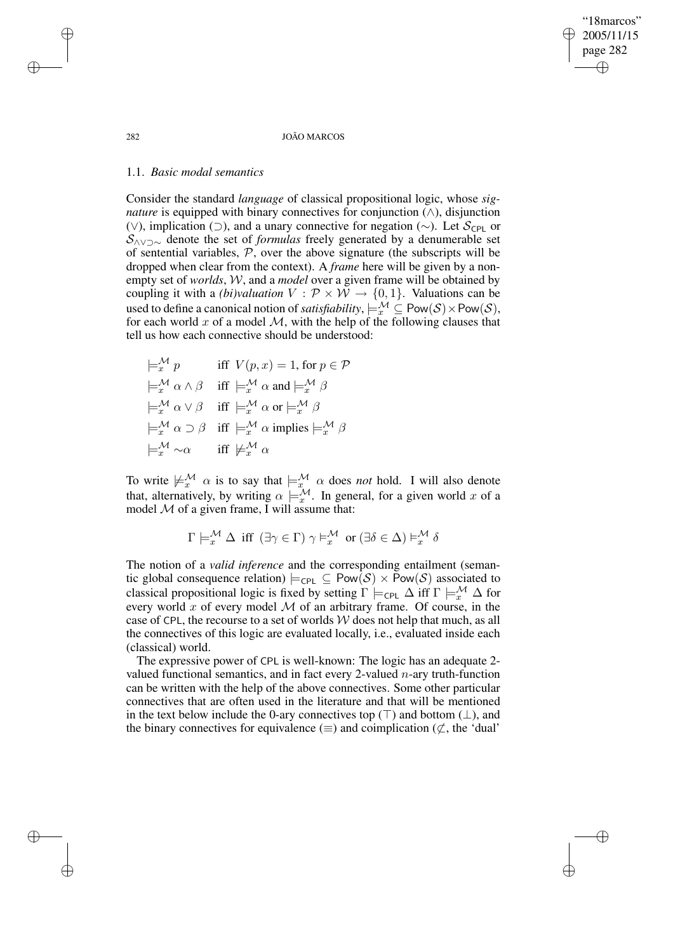"18marcos" 2005/11/15 page 282 ✐ ✐

✐

✐

#### 282 JOÃO MARCOS

#### 1.1. *Basic modal semantics*

Consider the standard *language* of classical propositional logic, whose *signature* is equipped with binary connectives for conjunction  $(\wedge)$ , disjunction (∨), implication (⊃), and a unary connective for negation (∼). Let  $S_{\text{CPL}}$  or S∧∨⊃∼ denote the set of *formulas* freely generated by a denumerable set of sentential variables,  $P$ , over the above signature (the subscripts will be dropped when clear from the context). A *frame* here will be given by a nonempty set of *worlds*, W, and a *model* over a given frame will be obtained by coupling it with a *(bi)valuation*  $V : \mathcal{P} \times \mathcal{W} \rightarrow \{0, 1\}$ . Valuations can be used to define a canonical notion of *satisfiability*,  $\models_{x}^{\mathcal{M}} \subseteq \text{Pow}(\mathcal{S}) \times \text{Pow}(\mathcal{S})$ , for each world x of a model  $M$ , with the help of the following clauses that tell us how each connective should be understood:

 $\models_x^{\mathcal{M}} p$  iff  $V(p, x) = 1$ , for  $p \in \mathcal{P}$  $\models^{\mathcal{M}}_{x} \alpha \wedge \beta$  iff  $\models^{\mathcal{M}}_{x} \alpha$  and  $\models^{\mathcal{M}}_{x} \beta$  $\models^{\mathcal{M}}_{x} \alpha \vee \beta$  iff  $\models^{\mathcal{M}}_{x} \alpha$  or  $\models^{\mathcal{M}}_{x} \beta$  $\models_{x}^{\mathcal{M}} \alpha \supset \beta$  iff  $\models_{x}^{\mathcal{M}} \alpha$  implies  $\models_{x}^{\mathcal{M}} \beta$  $\models^{\mathcal{M}}_{r} \sim \alpha$  iff  $\nmodels^{\mathcal{M}}_{r} \alpha$ 

To write  $\not\vdash^{\mathcal{M}}_{x} \alpha$  is to say that  $\models^{\mathcal{M}}_{x} \alpha$  does *not* hold. I will also denote that, alternatively, by writing  $\alpha \models_{x}^{\mathcal{M}}$ . In general, for a given world x of a model  $M$  of a given frame, I will assume that:

$$
\Gamma \models^{\mathcal{M}}_{x} \Delta \text{ iff } (\exists \gamma \in \Gamma) \gamma \models^{\mathcal{M}}_{x} \text{ or } (\exists \delta \in \Delta) \models^{\mathcal{M}}_{x} \delta
$$

The notion of a *valid inference* and the corresponding entailment (semantic global consequence relation)  $\models_{\text{CPL}} \subseteq \text{Pow}(\mathcal{S}) \times \text{Pow}(\mathcal{S})$  associated to classical propositional logic is fixed by setting  $\Gamma \models_{\text{CPL}} \Delta$  iff  $\Gamma \models_{x}^{\mathcal{M}} \Delta$  for every world  $x$  of every model  $M$  of an arbitrary frame. Of course, in the case of CPL, the recourse to a set of worlds  $W$  does not help that much, as all the connectives of this logic are evaluated locally, i.e., evaluated inside each (classical) world.

The expressive power of CPL is well-known: The logic has an adequate 2 valued functional semantics, and in fact every 2-valued  $n$ -ary truth-function can be written with the help of the above connectives. Some other particular connectives that are often used in the literature and that will be mentioned in the text below include the 0-ary connectives top ( $\top$ ) and bottom ( $\bot$ ), and the binary connectives for equivalence ( $\equiv$ ) and coimplication ( $\not\subset$ , the 'dual'

✐

✐

✐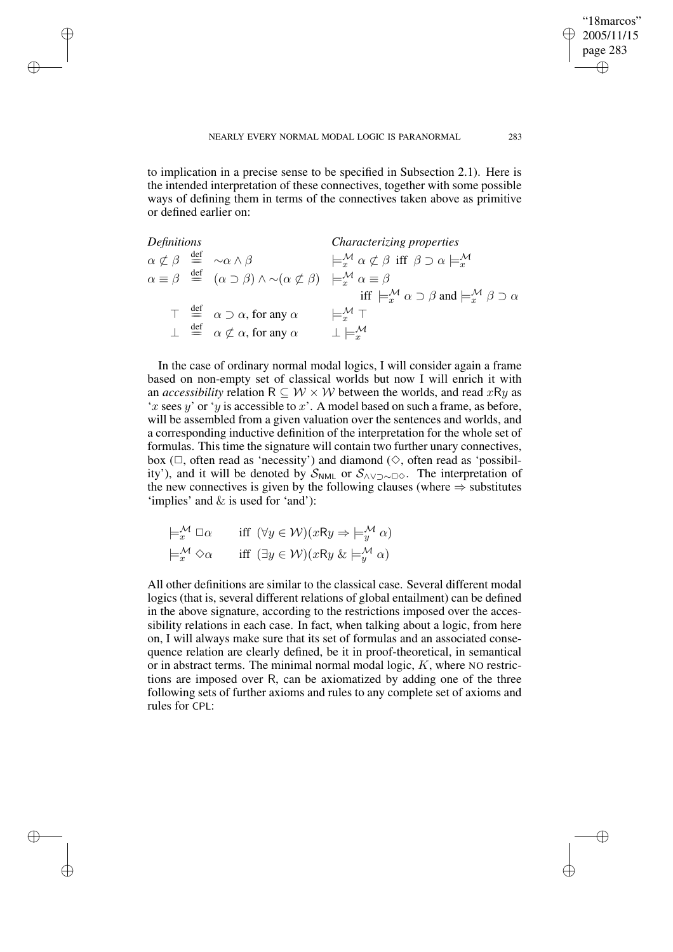✐

✐

✐

to implication in a precise sense to be specified in Subsection 2.1). Here is the intended interpretation of these connectives, together with some possible ways of defining them in terms of the connectives taken above as primitive or defined earlier on:

*Definitions Characterizing properties*  $\alpha \not\subset \beta \stackrel{\text{def}}{=} \sim \alpha \wedge \beta$   $\qquad \qquad \models_x^{\mathcal{M}} \alpha \not\subset \beta \text{ iff } \beta \supset \alpha \models_x^{\mathcal{M}}$  $\alpha \equiv \beta \stackrel{\text{def}}{=} (\alpha \supset \beta) \wedge \sim (\alpha \not\subset \beta) \models_x^{\mathcal{M}} \alpha \equiv \beta$ iff  $\models_x^{\mathcal{M}} \alpha \supset \beta$  and  $\models_x^{\mathcal{M}} \beta \supset \alpha$  $\top \stackrel{\text{def}}{=} \alpha \supset \alpha$ , for any  $\alpha \qquad \models_x^{\mathcal{M}} \top$  $\perp$   $\stackrel{\text{def}}{=}$   $\alpha \not\subset \alpha$ , for any  $\alpha$   $\perp \models_{x}^{\mathcal{M}}$ 

In the case of ordinary normal modal logics, I will consider again a frame based on non-empty set of classical worlds but now I will enrich it with an *accessibility* relation  $R \subseteq W \times W$  between the worlds, and read xRy as 'x sees y' or 'y is accessible to x'. A model based on such a frame, as before, will be assembled from a given valuation over the sentences and worlds, and a corresponding inductive definition of the interpretation for the whole set of formulas. This time the signature will contain two further unary connectives, box  $(\Box)$ , often read as 'necessity') and diamond  $(\Diamond)$ , often read as 'possibility'), and it will be denoted by  $S_{NML}$  or  $S_{\land \lor \supset \sim \Box \diamond}$ . The interpretation of the new connectives is given by the following clauses (where  $\Rightarrow$  substitutes 'implies' and & is used for 'and'):

$$
\models_{x}^{\mathcal{M}} \Box \alpha \quad \text{iff } (\forall y \in \mathcal{W})(xRy \Rightarrow \models_{y}^{\mathcal{M}} \alpha)
$$

$$
\models_{x}^{\mathcal{M}} \Diamond \alpha \quad \text{iff } (\exists y \in \mathcal{W})(xRy \& \models_{y}^{\mathcal{M}} \alpha)
$$

All other definitions are similar to the classical case. Several different modal logics (that is, several different relations of global entailment) can be defined in the above signature, according to the restrictions imposed over the accessibility relations in each case. In fact, when talking about a logic, from here on, I will always make sure that its set of formulas and an associated consequence relation are clearly defined, be it in proof-theoretical, in semantical or in abstract terms. The minimal normal modal logic,  $K$ , where NO restrictions are imposed over R, can be axiomatized by adding one of the three following sets of further axioms and rules to any complete set of axioms and rules for CPL:

"18marcos" 2005/11/15 page 283

✐

✐

✐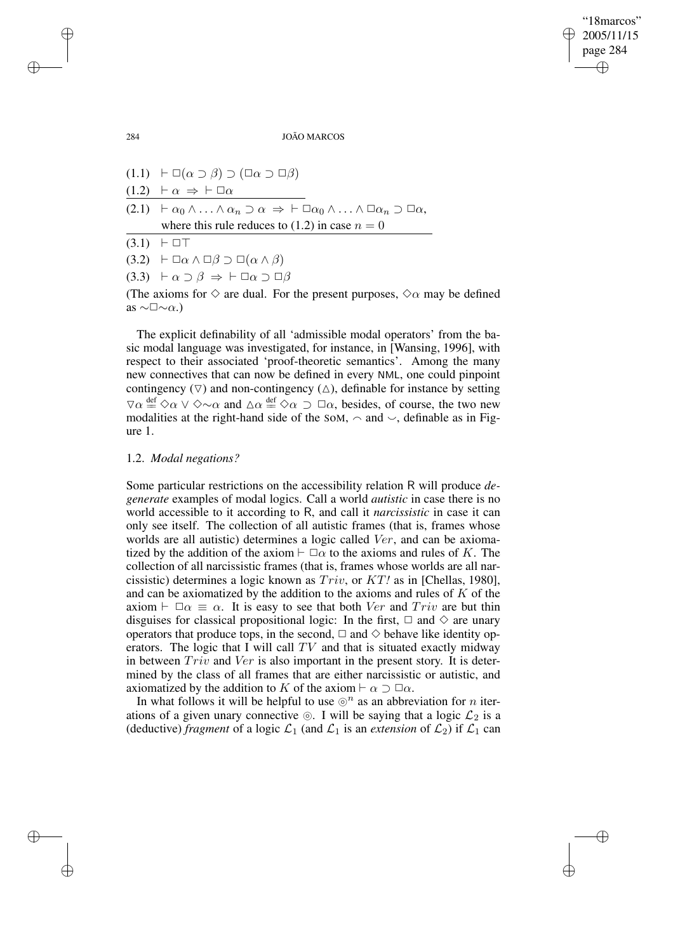✐

284 JOÃO MARCOS

 $(1.1) \vdash \Box(\alpha \supset \beta) \supset (\Box \alpha \supset \Box \beta)$  $(1.2)$   $\vdash \alpha \Rightarrow \vdash \Box \alpha$  $(2.1)$   $\vdash \alpha_0 \wedge \ldots \wedge \alpha_n \supset \alpha \Rightarrow \vdash \Box \alpha_0 \wedge \ldots \wedge \Box \alpha_n \supset \Box \alpha,$ where this rule reduces to (1.2) in case  $n = 0$  $(3.1) + \Box T$  $(3.2)$   $\vdash \Box \alpha \land \Box \beta \supset \Box (\alpha \land \beta)$  $(3.3)$   $\vdash \alpha \supset \beta \Rightarrow \vdash \Box \alpha \supset \Box \beta$ (The axioms for  $\diamond$  are dual. For the present purposes,  $\diamond \alpha$  may be defined

The explicit definability of all 'admissible modal operators' from the basic modal language was investigated, for instance, in [Wansing, 1996], with respect to their associated 'proof-theoretic semantics'. Among the many new connectives that can now be defined in every NML, one could pinpoint contingency  $(\nabla)$  and non-contingency  $(\triangle)$ , definable for instance by setting  $\forall \alpha \stackrel{\text{def}}{=} \Diamond \alpha \lor \Diamond \sim \alpha$  and  $\Delta \alpha \stackrel{\text{def}}{=} \Diamond \alpha \supset \Box \alpha$ , besides, of course, the two new modalities at the right-hand side of the SoM,  $\sim$  and  $\sim$ , definable as in Figure 1.

#### 1.2. *Modal negations?*

Some particular restrictions on the accessibility relation R will produce *degenerate* examples of modal logics. Call a world *autistic* in case there is no world accessible to it according to R, and call it *narcissistic* in case it can only see itself. The collection of all autistic frames (that is, frames whose worlds are all autistic) determines a logic called Ver, and can be axiomatized by the addition of the axiom  $\vdash \Box \alpha$  to the axioms and rules of K. The collection of all narcissistic frames (that is, frames whose worlds are all narcissistic) determines a logic known as Triv, or KT*!* as in [Chellas, 1980], and can be axiomatized by the addition to the axioms and rules of  $K$  of the axiom  $\vdash \Box \alpha \equiv \alpha$ . It is easy to see that both Ver and Triv are but thin disguises for classical propositional logic: In the first,  $\Box$  and  $\diamond$  are unary operators that produce tops, in the second,  $\Box$  and  $\diamond$  behave like identity operators. The logic that I will call  $TV$  and that is situated exactly midway in between  $Triv$  and  $Ver$  is also important in the present story. It is determined by the class of all frames that are either narcissistic or autistic, and axiomatized by the addition to K of the axiom  $\vdash \alpha \supset \Box \alpha$ .

In what follows it will be helpful to use  $\odot^{n}$  as an abbreviation for *n* iterations of a given unary connective  $\circledcirc$ . I will be saying that a logic  $\mathcal{L}_2$  is a (deductive) *fragment* of a logic  $\mathcal{L}_1$  (and  $\mathcal{L}_1$  is an *extension* of  $\mathcal{L}_2$ ) if  $\mathcal{L}_1$  can

as  $\sim\Box\sim\alpha$ .)

✐

✐

✐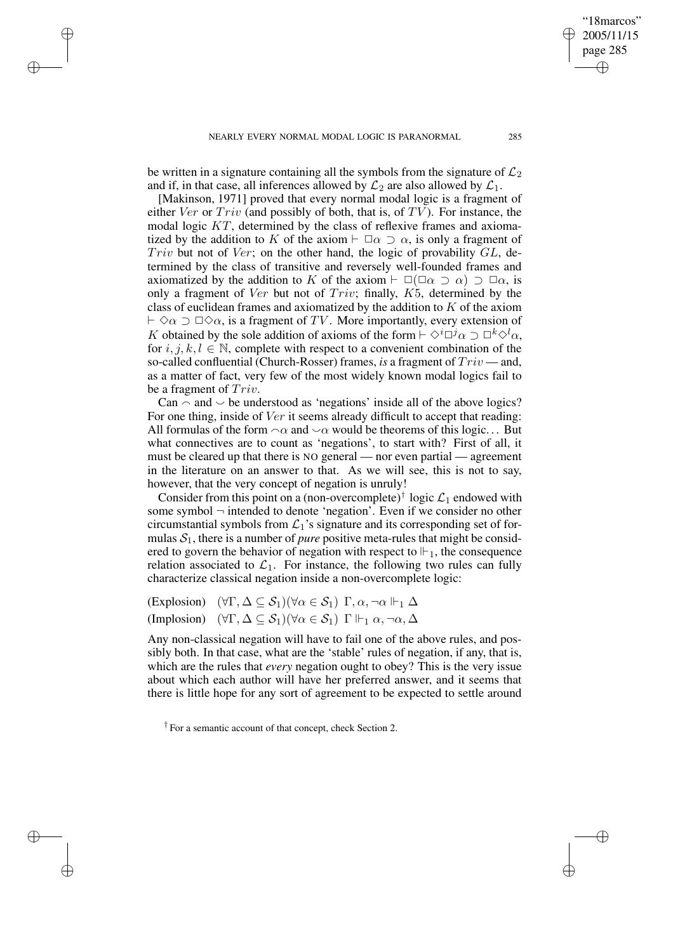✐

✐

✐

be written in a signature containing all the symbols from the signature of  $\mathcal{L}_2$ and if, in that case, all inferences allowed by  $\mathcal{L}_2$  are also allowed by  $\mathcal{L}_1$ .

[Makinson, 1971] proved that every normal modal logic is a fragment of either Ver or  $Triv$  (and possibly of both, that is, of  $TV$ ). For instance, the modal logic KT, determined by the class of reflexive frames and axiomatized by the addition to K of the axiom  $\vdash \Box \alpha \supset \alpha$ , is only a fragment of Triv but not of Ver; on the other hand, the logic of provability  $GL$ , determined by the class of transitive and reversely well-founded frames and axiomatized by the addition to K of the axiom  $\vdash \Box(\Box \alpha \supset \alpha) \supset \Box \alpha$ , is only a fragment of Ver but not of Triv; finally, K5, determined by the class of euclidean frames and axiomatized by the addition to K of the axiom  $\vdash \Diamond \alpha \supset \Box \Diamond \alpha$ , is a fragment of TV. More importantly, every extension of K obtained by the sole addition of axioms of the form  $\vdash \Diamond^i \Box^j \alpha \supset \Box^k \Diamond^l \alpha$ , for  $i, j, k, l \in \mathbb{N}$ , complete with respect to a convenient combination of the so-called confluential (Church-Rosser) frames, *is* a fragment of Triv — and, as a matter of fact, very few of the most widely known modal logics fail to be a fragment of Triv.

Can  $\sim$  and  $\sim$  be understood as 'negations' inside all of the above logics? For one thing, inside of Ver it seems already difficult to accept that reading: All formulas of the form  $\alpha$  and  $\alpha$  would be theorems of this logic... But what connectives are to count as 'negations', to start with? First of all, it must be cleared up that there is NO general — nor even partial — agreement in the literature on an answer to that. As we will see, this is not to say, however, that the very concept of negation is unruly!

Consider from this point on a (non-overcomplete)<sup>†</sup> logic  $\mathcal{L}_1$  endowed with some symbol  $\neg$  intended to denote 'negation'. Even if we consider no other circumstantial symbols from  $\mathcal{L}_1$ 's signature and its corresponding set of formulas  $S_1$ , there is a number of *pure* positive meta-rules that might be considered to govern the behavior of negation with respect to  $\mathbb{H}_1$ , the consequence relation associated to  $\mathcal{L}_1$ . For instance, the following two rules can fully characterize classical negation inside a non-overcomplete logic:

(Explosion)  $(\forall \Gamma, \Delta \subseteq S_1)(\forall \alpha \in S_1) \Gamma, \alpha, \neg \alpha \Vdash_1 \Delta$ (Implosion)  $(\forall \Gamma, \Delta \subseteq S_1)(\forall \alpha \in S_1) \Gamma \Vdash_1 \alpha, \neg \alpha, \Delta$ 

Any non-classical negation will have to fail one of the above rules, and possibly both. In that case, what are the 'stable' rules of negation, if any, that is, which are the rules that *every* negation ought to obey? This is the very issue about which each author will have her preferred answer, and it seems that there is little hope for any sort of agreement to be expected to settle around

† For a semantic account of that concept, check Section 2.

"18marcos" 2005/11/15 page 285

✐

✐

✐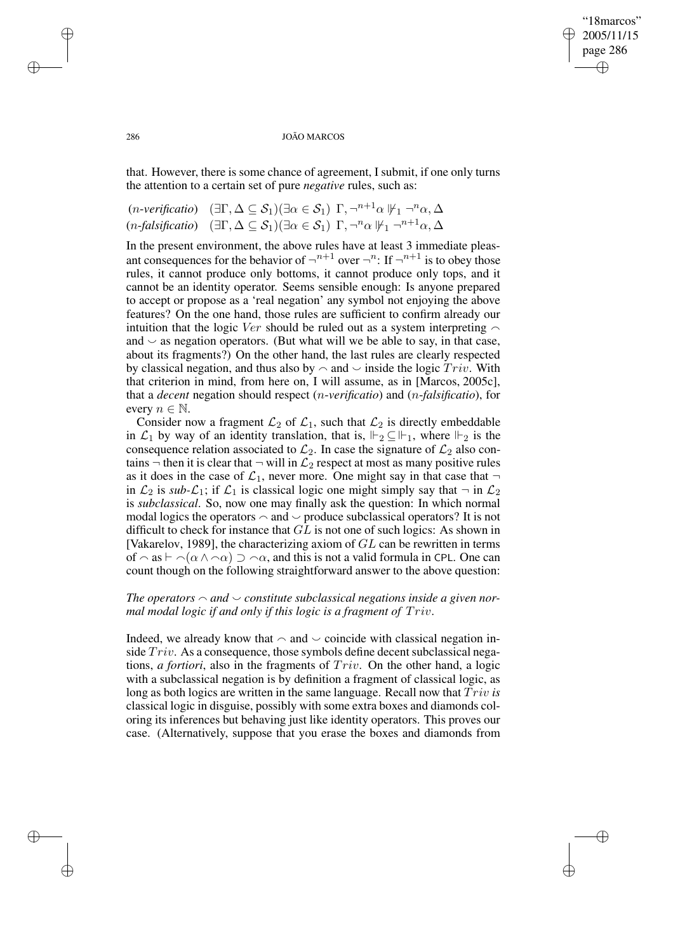## "18marcos" 2005/11/15 page 286 ✐ ✐

✐

✐

#### 286 JOÃO MARCOS

that. However, there is some chance of agreement, I submit, if one only turns the attention to a certain set of pure *negative* rules, such as:

$$
(n\text{-}verification) \quad (\exists \Gamma, \Delta \subseteq \mathcal{S}_1) (\exists \alpha \in \mathcal{S}_1) \Gamma, \neg^{n+1} \alpha \, \|\psi_1 \neg^n \alpha, \Delta
$$

$$
(n\text{-}falsification) \quad (\exists \Gamma, \Delta \subseteq \mathcal{S}_1) (\exists \alpha \in \mathcal{S}_1) \Gamma, \neg^n \alpha \, \|\psi_1 \neg^{n+1} \alpha, \Delta
$$

In the present environment, the above rules have at least 3 immediate pleasant consequences for the behavior of  $\neg^{n+1}$  over  $\neg^{n}$ : If  $\neg^{n+1}$  is to obey those rules, it cannot produce only bottoms, it cannot produce only tops, and it cannot be an identity operator. Seems sensible enough: Is anyone prepared to accept or propose as a 'real negation' any symbol not enjoying the above features? On the one hand, those rules are sufficient to confirm already our intuition that the logic Ver should be ruled out as a system interpreting  $\sim$ and  $\sim$  as negation operators. (But what will we be able to say, in that case, about its fragments?) On the other hand, the last rules are clearly respected by classical negation, and thus also by  $\sim$  and  $\sim$  inside the logic  $Triv$ . With that criterion in mind, from here on, I will assume, as in [Marcos, 2005c], that a *decent* negation should respect (n-*verificatio*) and (n-*falsificatio*), for every  $n \in \mathbb{N}$ .

Consider now a fragment  $\mathcal{L}_2$  of  $\mathcal{L}_1$ , such that  $\mathcal{L}_2$  is directly embeddable in  $\mathcal{L}_1$  by way of an identity translation, that is,  $\Vdash_2 \subseteq \Vdash_1$ , where  $\Vdash_2$  is the consequence relation associated to  $\mathcal{L}_2$ . In case the signature of  $\mathcal{L}_2$  also contains  $\neg$  then it is clear that  $\neg$  will in  $\mathcal{L}_2$  respect at most as many positive rules as it does in the case of  $\mathcal{L}_1$ , never more. One might say in that case that  $\neg$ in  $\mathcal{L}_2$  is *sub-* $\mathcal{L}_1$ ; if  $\mathcal{L}_1$  is classical logic one might simply say that  $\neg$  in  $\mathcal{L}_2$ is *subclassical*. So, now one may finally ask the question: In which normal modal logics the operators  $\sim$  and  $\sim$  produce subclassical operators? It is not difficult to check for instance that GL is not one of such logics: As shown in [Vakarelov, 1989], the characterizing axiom of  $GL$  can be rewritten in terms of  $\alpha$  as  $\vdash \alpha(\alpha \wedge \alpha) \supset \alpha$ , and this is not a valid formula in CPL. One can count though on the following straightforward answer to the above question:

# *The operators*  $\sim$  *and*  $\sim$  *constitute subclassical negations inside a given normal modal logic if and only if this logic is a fragment of* Triv.

Indeed, we already know that  $\sim$  and  $\sim$  coincide with classical negation inside  $Triv$ . As a consequence, those symbols define decent subclassical negations, *a fortiori*, also in the fragments of Triv. On the other hand, a logic with a subclassical negation is by definition a fragment of classical logic, as long as both logics are written in the same language. Recall now that Triv *is* classical logic in disguise, possibly with some extra boxes and diamonds coloring its inferences but behaving just like identity operators. This proves our case. (Alternatively, suppose that you erase the boxes and diamonds from

✐

✐

✐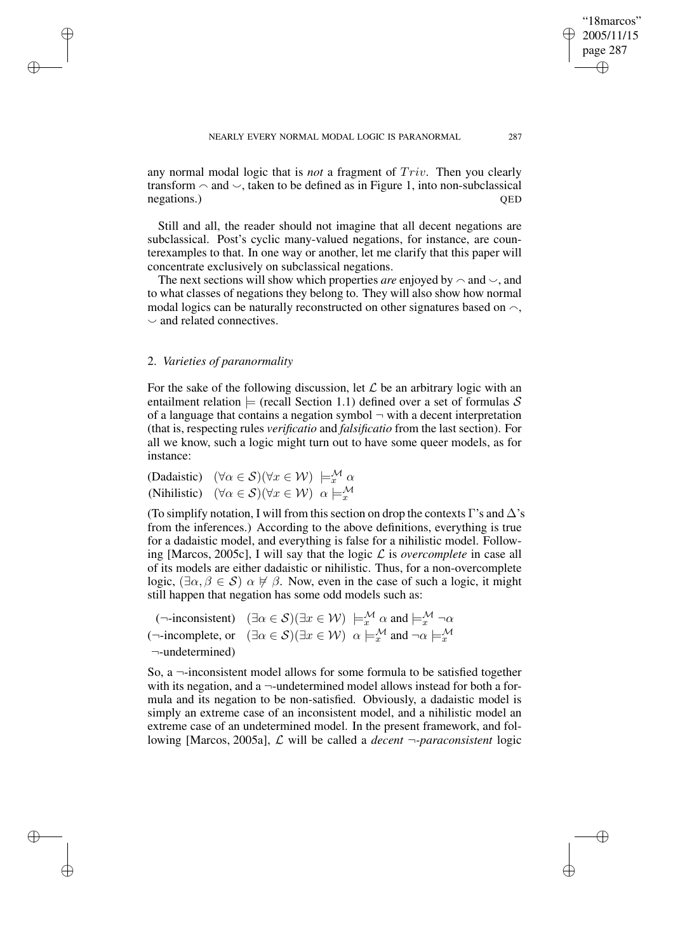any normal modal logic that is *not* a fragment of Triv. Then you clearly transform  $\sim$  and  $\sim$ , taken to be defined as in Figure 1, into non-subclassical negations.) QED

Still and all, the reader should not imagine that all decent negations are subclassical. Post's cyclic many-valued negations, for instance, are counterexamples to that. In one way or another, let me clarify that this paper will concentrate exclusively on subclassical negations.

The next sections will show which properties *are* enjoyed by  $\sim$  and  $\sim$ , and to what classes of negations they belong to. They will also show how normal modal logics can be naturally reconstructed on other signatures based on  $\sim$ .  $\sim$  and related connectives.

## 2. *Varieties of paranormality*

✐

✐

✐

✐

For the sake of the following discussion, let  $\mathcal L$  be an arbitrary logic with an entailment relation  $\models$  (recall Section 1.1) defined over a set of formulas S of a language that contains a negation symbol  $\neg$  with a decent interpretation (that is, respecting rules *verificatio* and *falsificatio* from the last section). For all we know, such a logic might turn out to have some queer models, as for instance:

(Dadaistic)  $(\forall \alpha \in S)(\forall x \in W) \models_x^{\mathcal{M}} \alpha$ (Nihilistic)  $(\forall \alpha \in S)(\forall x \in W)$   $\alpha \models_{x}^{M}$ 

(To simplify notation, I will from this section on drop the contexts Γ's and  $\Delta$ 's from the inferences.) According to the above definitions, everything is true for a dadaistic model, and everything is false for a nihilistic model. Following [Marcos, 2005c], I will say that the logic  $\mathcal L$  is *overcomplete* in case all of its models are either dadaistic or nihilistic. Thus, for a non-overcomplete logic,  $(\exists \alpha, \beta \in S)$   $\alpha \not\vdash \beta$ . Now, even in the case of such a logic, it might still happen that negation has some odd models such as:

(¬-inconsistent)  $(\exists \alpha \in S)(\exists x \in W) \models_x^{\mathcal{M}} \alpha$  and  $\models_x^{\mathcal{M}} \neg \alpha$ (¬-incomplete, or  $(\exists \alpha \in S)(\exists x \in W)$   $\alpha \models_{x}^{M}$  and  $\neg \alpha \models_{x}^{M}$ ¬-undetermined)

So, a  $\neg$ -inconsistent model allows for some formula to be satisfied together with its negation, and a  $\neg$ -undetermined model allows instead for both a formula and its negation to be non-satisfied. Obviously, a dadaistic model is simply an extreme case of an inconsistent model, and a nihilistic model an extreme case of an undetermined model. In the present framework, and following [Marcos, 2005a], L will be called a *decent* ¬*-paraconsistent* logic

"18marcos" 2005/11/15 page 287

✐

✐

✐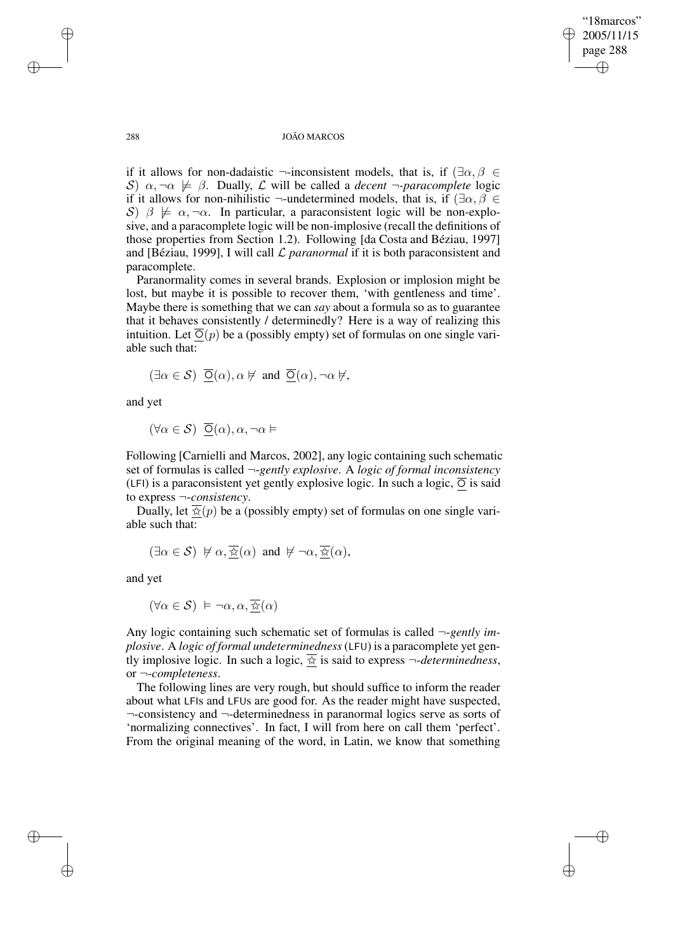"18marcos" 2005/11/15 page 288 ✐ ✐

✐

✐

#### 288 JOÃO MARCOS

if it allows for non-dadaistic ¬-inconsistent models, that is, if  $(\exists \alpha, \beta \in$ S)  $\alpha, \neg \alpha \not\models \beta$ . Dually, L will be called a *decent*  $\neg$ -paracomplete logic if it allows for non-nihilistic  $\neg$ -undetermined models, that is, if  $(\exists \alpha, \beta \in$ S)  $\beta \not\models \alpha, \neg \alpha$ . In particular, a paraconsistent logic will be non-explosive, and a paracomplete logic will be non-implosive (recall the definitions of those properties from Section 1.2). Following [da Costa and Béziau, 1997] and [Béziau, 1999], I will call L *paranormal* if it is both paraconsistent and paracomplete.

Paranormality comes in several brands. Explosion or implosion might be lost, but maybe it is possible to recover them, 'with gentleness and time'. Maybe there is something that we can *say* about a formula so as to guarantee that it behaves consistently / determinedly? Here is a way of realizing this intuition. Let  $\overline{O}(p)$  be a (possibly empty) set of formulas on one single variable such that:

$$
(\exists \alpha \in \mathcal{S}) \ \ \overline{\underline{\mathrm{O}}}(\alpha), \alpha \not \vDash \text{ and } \ \overline{\underline{\mathrm{O}}}(\alpha), \neg \alpha \not \vDash,
$$

and yet

 $(\forall \alpha \in \mathcal{S}) \ \overline{\mathsf{O}}(\alpha), \alpha, \neg \alpha \vDash$ 

Following [Carnielli and Marcos, 2002], any logic containing such schematic set of formulas is called ¬-*gently explosive*. A *logic of formal inconsistency* (LFI) is a paraconsistent yet gently explosive logic. In such a logic,  $\overline{O}$  is said to express ¬-*consistency*.

Dually, let  $\overline{\mathcal{R}}(p)$  be a (possibly empty) set of formulas on one single variable such that:

$$
(\exists \alpha \in S) \not\vdash \alpha, \overline{\frac{\lambda}{\lambda\lambda}}(\alpha) \text{ and } \not\vdash \neg \alpha, \overline{\frac{\lambda}{\lambda\lambda}}(\alpha),
$$

and yet

$$
(\forall \alpha \in \mathcal{S}) \models \neg \alpha, \alpha, \overline{\mathcal{R}}(\alpha)
$$

Any logic containing such schematic set of formulas is called ¬-*gently implosive*. A *logic of formal undeterminedness*(LFU) is a paracomplete yet gently implosive logic. In such a logic,  $\frac{1}{x}$  is said to express  $\neg$ -*determinedness*, or ¬-*completeness*.

The following lines are very rough, but should suffice to inform the reader about what LFIs and LFUs are good for. As the reader might have suspected, ¬-consistency and ¬-determinedness in paranormal logics serve as sorts of 'normalizing connectives'. In fact, I will from here on call them 'perfect'. From the original meaning of the word, in Latin, we know that something

✐

✐

✐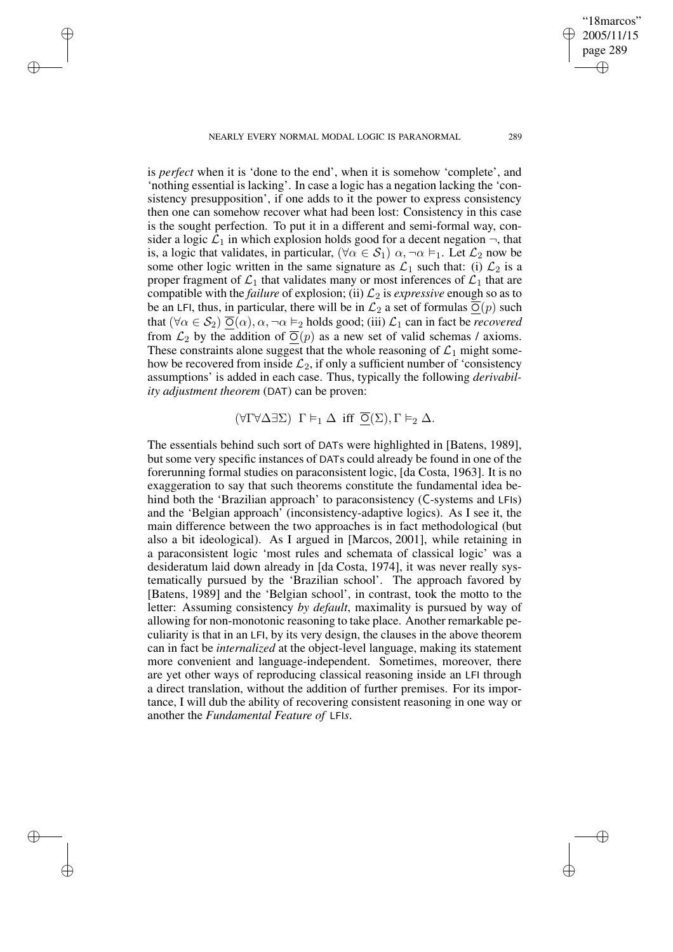NEARLY EVERY NORMAL MODAL LOGIC IS PARANORMAL 289

✐

✐

✐

✐

"18marcos" 2005/11/15 page 289

✐

✐

✐

✐

is *perfect* when it is 'done to the end', when it is somehow 'complete', and 'nothing essential is lacking'. In case a logic has a negation lacking the 'consistency presupposition', if one adds to it the power to express consistency then one can somehow recover what had been lost: Consistency in this case is the sought perfection. To put it in a different and semi-formal way, consider a logic  $\mathcal{L}_1$  in which explosion holds good for a decent negation  $\neg$ , that is, a logic that validates, in particular,  $(\forall \alpha \in S_1)$   $\alpha, \neg \alpha \models_1$ . Let  $\mathcal{L}_2$  now be some other logic written in the same signature as  $\mathcal{L}_1$  such that: (i)  $\mathcal{L}_2$  is a proper fragment of  $\mathcal{L}_1$  that validates many or most inferences of  $\mathcal{L}_1$  that are compatible with the *failure* of explosion; (ii)  $\mathcal{L}_2$  is *expressive* enough so as to be an LFI, thus, in particular, there will be in  $\mathcal{L}_2$  a set of formulas  $\overline{O}(p)$  such that  $(\forall \alpha \in S_2)$   $\overline{O}(\alpha)$ ,  $\alpha$ ,  $\neg \alpha \vDash_2$  holds good; (iii)  $\mathcal{L}_1$  can in fact be *recovered* from  $\mathcal{L}_2$  by the addition of  $\overline{O}(p)$  as a new set of valid schemas / axioms. These constraints alone suggest that the whole reasoning of  $\mathcal{L}_1$  might somehow be recovered from inside  $\mathcal{L}_2$ , if only a sufficient number of 'consistency assumptions' is added in each case. Thus, typically the following *derivability adjustment theorem* (DAT) can be proven:

 $(\forall \Gamma \forall \Delta \exists \Sigma)$   $\Gamma \models_1 \Delta$  iff  $\overline{O}(\Sigma), \Gamma \models_2 \Delta$ .

The essentials behind such sort of DATs were highlighted in [Batens, 1989], but some very specific instances of DATs could already be found in one of the forerunning formal studies on paraconsistent logic, [da Costa, 1963]. It is no exaggeration to say that such theorems constitute the fundamental idea behind both the 'Brazilian approach' to paraconsistency (C-systems and LFIs) and the 'Belgian approach' (inconsistency-adaptive logics). As I see it, the main difference between the two approaches is in fact methodological (but also a bit ideological). As I argued in [Marcos, 2001], while retaining in a paraconsistent logic 'most rules and schemata of classical logic' was a desideratum laid down already in [da Costa, 1974], it was never really systematically pursued by the 'Brazilian school'. The approach favored by [Batens, 1989] and the 'Belgian school', in contrast, took the motto to the letter: Assuming consistency *by default*, maximality is pursued by way of allowing for non-monotonic reasoning to take place. Another remarkable peculiarity is that in an LFI, by its very design, the clauses in the above theorem can in fact be *internalized* at the object-level language, making its statement more convenient and language-independent. Sometimes, moreover, there are yet other ways of reproducing classical reasoning inside an LFI through a direct translation, without the addition of further premises. For its importance, I will dub the ability of recovering consistent reasoning in one way or another the *Fundamental Feature of* LFI*s*.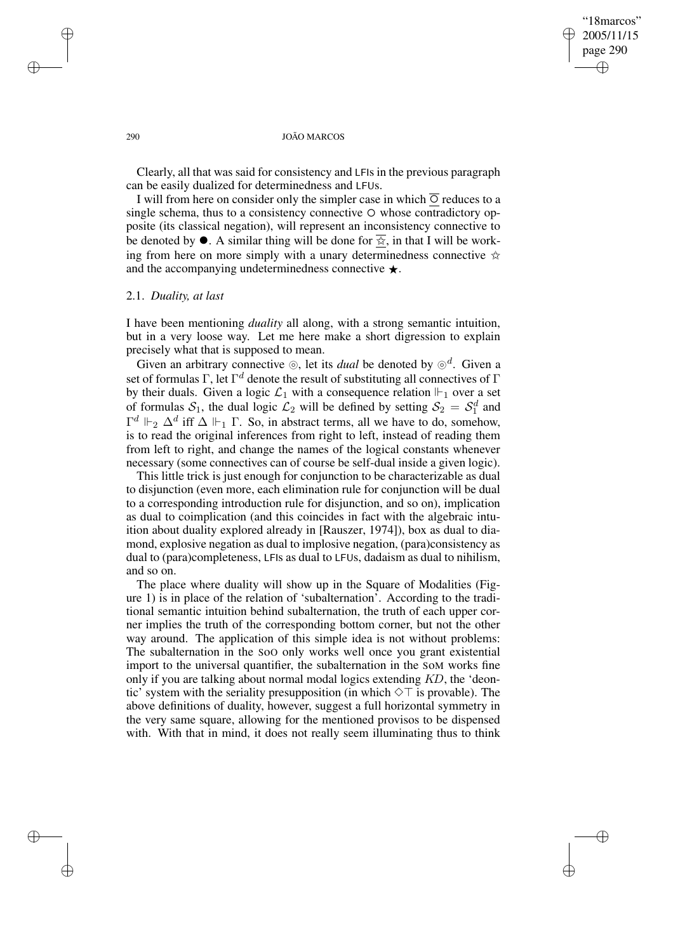## '18marcos" 2005/11/15 page 290 ✐ ✐

✐

✐

#### 290 JOÃO MARCOS

Clearly, all that was said for consistency and LFIs in the previous paragraph can be easily dualized for determinedness and LFUs.

I will from here on consider only the simpler case in which  $\overline{O}$  reduces to a single schema, thus to a consistency connective  $\circ$  whose contradictory opposite (its classical negation), will represent an inconsistency connective to be denoted by  $\bullet$ . A similar thing will be done for  $\frac{1}{X}$ , in that I will be work-<br>ing from here on more simply with a unary determinedness connective ing from here on more simply with a unary determinedness connective  $\star$ and the accompanying undeterminedness connective ★.

#### 2.1. *Duality, at last*

I have been mentioning *duality* all along, with a strong semantic intuition, but in a very loose way. Let me here make a short digression to explain precisely what that is supposed to mean.

Given an arbitrary connective  $\circledcirc$ , let its *dual* be denoted by  $\circledcirc^d$ . Given a set of formulas  $\Gamma$ , let  $\Gamma^d$  denote the result of substituting all connectives of  $\Gamma$ by their duals. Given a logic  $\mathcal{L}_1$  with a consequence relation  $\mathbb{H}_1$  over a set of formulas  $S_1$ , the dual logic  $\mathcal{L}_2$  will be defined by setting  $S_2 = S_1^d$  and  $\Gamma^d \Vdash_2 \Delta^d$  iff  $\Delta \Vdash_1 \Gamma$ . So, in abstract terms, all we have to do, somehow, is to read the original inferences from right to left, instead of reading them from left to right, and change the names of the logical constants whenever necessary (some connectives can of course be self-dual inside a given logic).

This little trick is just enough for conjunction to be characterizable as dual to disjunction (even more, each elimination rule for conjunction will be dual to a corresponding introduction rule for disjunction, and so on), implication as dual to coimplication (and this coincides in fact with the algebraic intuition about duality explored already in [Rauszer, 1974]), box as dual to diamond, explosive negation as dual to implosive negation, (para)consistency as dual to (para)completeness, LFIs as dual to LFUs, dadaism as dual to nihilism, and so on.

The place where duality will show up in the Square of Modalities (Figure 1) is in place of the relation of 'subalternation'. According to the traditional semantic intuition behind subalternation, the truth of each upper corner implies the truth of the corresponding bottom corner, but not the other way around. The application of this simple idea is not without problems: The subalternation in the SoO only works well once you grant existential import to the universal quantifier, the subalternation in the SoM works fine only if you are talking about normal modal logics extending KD, the 'deontic' system with the seriality presupposition (in which  $\Diamond \top$  is provable). The above definitions of duality, however, suggest a full horizontal symmetry in the very same square, allowing for the mentioned provisos to be dispensed with. With that in mind, it does not really seem illuminating thus to think

✐

✐

✐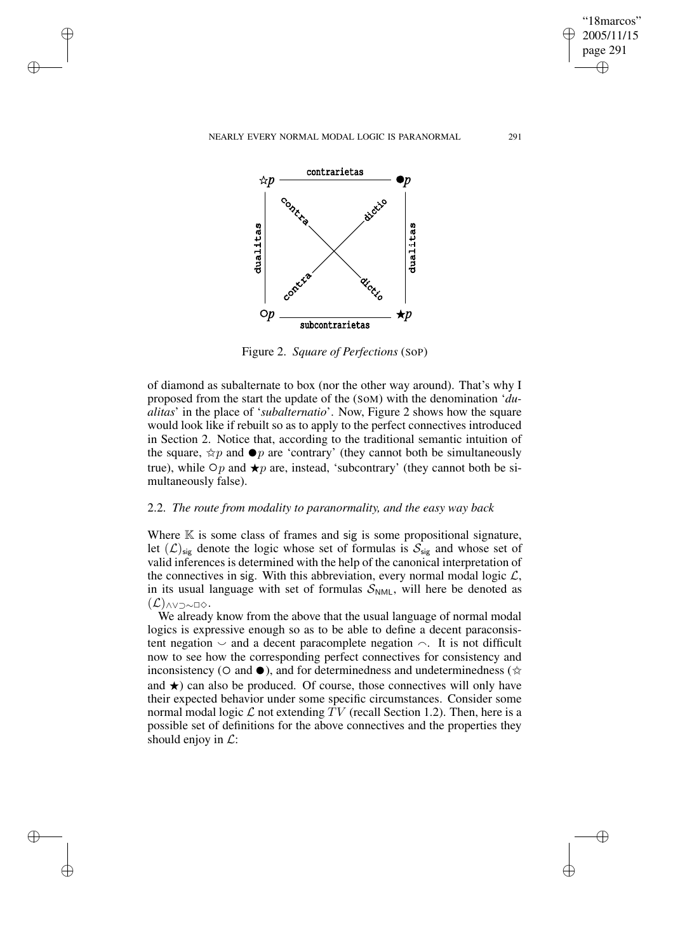NEARLY EVERY NORMAL MODAL LOGIC IS PARANORMAL 291

✐

✐

✐

✐

"18marcos" 2005/11/15 page 291

✐

✐

✐

✐



Figure 2. *Square of Perfections* (SoP)

of diamond as subalternate to box (nor the other way around). That's why I proposed from the start the update of the (SoM) with the denomination '*dualitas*' in the place of '*subalternatio*'. Now, Figure 2 shows how the square would look like if rebuilt so as to apply to the perfect connectives introduced in Section 2. Notice that, according to the traditional semantic intuition of the square,  $\angle$ p and  $\bullet$ p are 'contrary' (they cannot both be simultaneously true), while  $\circ$ p and  $\bullet$ p are instead, 'subcontrary' (they cannot both be simultaneously true), while  $\bigcirc p$  and  $\bigstar p$  are, instead, 'subcontrary' (they cannot both be simultaneously false).

## 2.2. *The route from modality to paranormality, and the easy way back*

Where  $K$  is some class of frames and sig is some propositional signature, let  $(\mathcal{L})_{sig}$  denote the logic whose set of formulas is  $\mathcal{S}_{sig}$  and whose set of valid inferences is determined with the help of the canonical interpretation of the connectives in sig. With this abbreviation, every normal modal logic  $\mathcal{L}$ , in its usual language with set of formulas  $S_{NML}$ , will here be denoted as  $(\mathcal{L})$ ∧∨⊃∼□◇ $\cdot$ 

We already know from the above that the usual language of normal modal logics is expressive enough so as to be able to define a decent paraconsistent negation  $\sim$  and a decent paracomplete negation  $\sim$ . It is not difficult now to see how the corresponding perfect connectives for consistency and inconsistency ( $\circ$  and  $\bullet$ ), and for determinedness and undeterminedness ( $\star$ ) and  $\star$ ) can also be produced. Of course, those connectives will only have and  $\star$ ) can also be produced. Of course, those connectives will only have their expected behavior under some specific circumstances. Consider some normal modal logic  $\mathcal L$  not extending TV (recall Section 1.2). Then, here is a possible set of definitions for the above connectives and the properties they should enjoy in  $\mathcal{L}$ :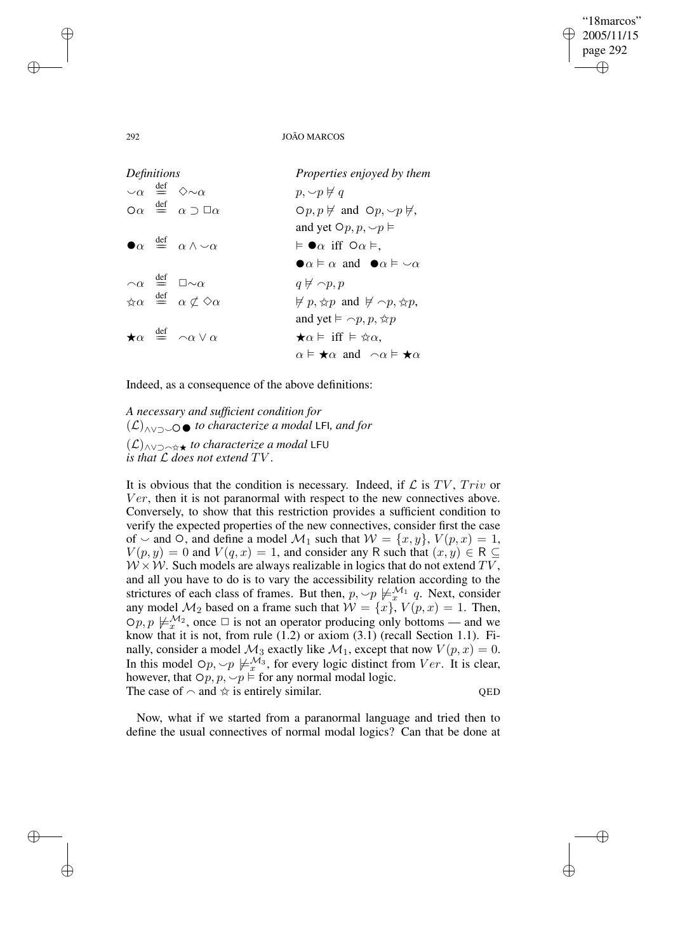# 292 JOÃO MARCOS

"18marcos" 2005/11/15 page 292

✐

✐

✐

✐

| Definitions |  |                                                                              | Properties enjoyed by them                                                 |
|-------------|--|------------------------------------------------------------------------------|----------------------------------------------------------------------------|
|             |  | $\cup_{\alpha} \stackrel{\text{def}}{=} \Diamond \sim \alpha$                | $p, \sim p \not\vdash q$                                                   |
|             |  | $\alpha \stackrel{\text{def}}{=} \alpha \supset \Box \alpha$                 | $\varphi(p, p \not\models \text{and } \varphi(p, \neg p \not\models,$      |
|             |  |                                                                              | and yet $\bigcirc p, p, \smile p \vDash$                                   |
|             |  | $\bullet \alpha \stackrel{\text{def}}{=} \alpha \wedge \neg \alpha$          | $\models \bullet \alpha$ iff $\circ \alpha \models$ .                      |
|             |  |                                                                              | $\bullet \alpha \vDash \alpha$ and $\bullet \alpha \vDash \neg \alpha$     |
|             |  | $\alpha \stackrel{\text{def}}{=} \Box \sim \alpha$                           | $q \not\in \neg p, p$                                                      |
|             |  | $\forall \alpha \stackrel{\text{def}}{=} \alpha \not\subset \Diamond \alpha$ | $\not\vDash p, \notimes p$ and $\not\vDash \neg p, \notimes p$ ,           |
|             |  |                                                                              | and yet $\models \neg p, p, \forall x p$                                   |
|             |  | $\star \alpha \stackrel{\text{def}}{=} \alpha \vee \alpha$                   | $\bigstar \alpha \models \text{ iff } \models \exists x \alpha.$           |
|             |  |                                                                              | $\alpha \models \bigstar \alpha$ and $\neg \alpha \models \bigstar \alpha$ |

Indeed, as a consequence of the above definitions:

*A necessary and sufficient condition for*  $(L)$ <sub>∧∨⊃</sub>←• *to characterize a modal* LFI*, and for* (L)∧∨⊃a✩★ *to characterize a modal* LFU *is that* L *does not extend* TV .

It is obvious that the condition is necessary. Indeed, if  $\mathcal L$  is TV, Triv or  $Ver$ , then it is not paranormal with respect to the new connectives above. Conversely, to show that this restriction provides a sufficient condition to verify the expected properties of the new connectives, consider first the case of  $\sim$  and  $\circ$ , and define a model  $\mathcal{M}_1$  such that  $\mathcal{W} = \{x, y\}$ ,  $V(p, x) = 1$ ,  $V(p, y) = 0$  and  $V(q, x) = 1$ , and consider any R such that  $(x, y) \in R \subseteq$  $W \times W$ . Such models are always realizable in logics that do not extend TV, and all you have to do is to vary the accessibility relation according to the strictures of each class of frames. But then,  $p, \sim p \not\models_{x}^{\mathcal{M}_1} q$ . Next, consider any model  $\mathcal{M}_2$  based on a frame such that  $\mathcal{W} = \{x\}$ ,  $V(p, x) = 1$ . Then,  $\varphi p, p \not\models_{x}^{\mathcal{M}_2}$ , once  $\Box$  is not an operator producing only bottoms — and we know that it is not, from rule (1.2) or axiom (3.1) (recall Section 1.1). Finally, consider a model  $\mathcal{M}_3$  exactly like  $\mathcal{M}_1$ , except that now  $V(p, x) = 0$ . In this model  $\bigcirc p, \bigcirc p \not\models_{x}^{\mathcal{M}_3}$ , for every logic distinct from  $Ver$ . It is clear, however, that  $Op, p, \sim p \vDash$  for any normal modal logic. The case of  $\sim$  and  $\angle$  is entirely similar. QED

Now, what if we started from a paranormal language and tried then to define the usual connectives of normal modal logics? Can that be done at

✐

✐

✐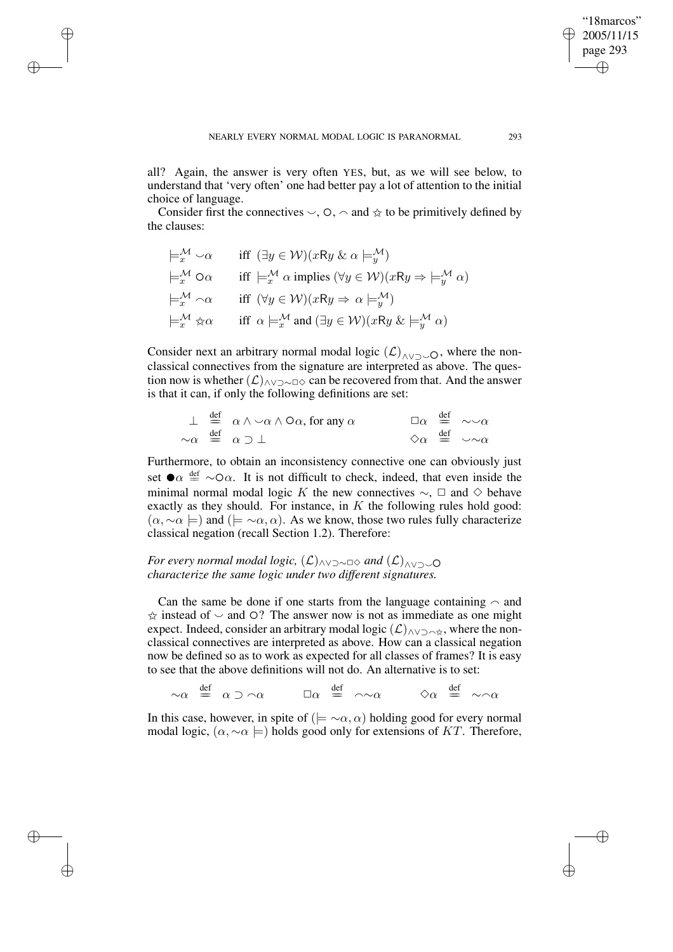✐

✐

✐

all? Again, the answer is very often YES, but, as we will see below, to understand that 'very often' one had better pay a lot of attention to the initial choice of language.

Consider first the connectives  $\vee$ ,  $\circ$ ,  $\sim$  and  $\star$  to be primitively defined by the clauses:

$$
\models_{x}^{\mathcal{M}} \circ \alpha \quad \text{iff} \quad (\exists y \in \mathcal{W})(xRy \& \alpha \models_{y}^{\mathcal{M}}) \n\models_{x}^{\mathcal{M}} \alpha \alpha \quad \text{iff} \models_{x}^{\mathcal{M}} \alpha \text{ implies } (\forall y \in \mathcal{W})(xRy \Rightarrow \models_{y}^{\mathcal{M}} \alpha) \n\models_{x}^{\mathcal{M}} \alpha \alpha \quad \text{iff} \quad (\forall y \in \mathcal{W})(xRy \Rightarrow \alpha \models_{y}^{\mathcal{M}}) \n\models_{x}^{\mathcal{M}} \forall \alpha \alpha \quad \text{iff} \quad \alpha \models_{x}^{\mathcal{M}} \text{and } (\exists y \in \mathcal{W})(xRy \& \models_{y}^{\mathcal{M}} \alpha)
$$

Consider next an arbitrary normal modal logic  $(\mathcal{L})_{\land\lor\supset\supset\mathcal{O}}$ , where the nonclassical connectives from the signature are interpreted as above. The question now is whether  $(\mathcal{L})$ ∧∨¬∼□◇ can be recovered from that. And the answer is that it can, if only the following definitions are set:

$$
\begin{array}{cccc}\n\perp & \stackrel{\text{def}}{=} & \alpha \wedge \neg \alpha \wedge \Box \alpha \text{, for any } \alpha & \Box \alpha & \stackrel{\text{def}}{=} & \neg \neg \alpha \\
\sim \alpha & \stackrel{\text{def}}{=} & \alpha \supset \bot & \Diamond \alpha & \stackrel{\text{def}}{=} & \neg \neg \alpha\n\end{array}
$$

Furthermore, to obtain an inconsistency connective one can obviously just set  $\bullet \alpha \stackrel{\text{def}}{=} \sim \circ \alpha$ . It is not difficult to check, indeed, that even inside the minimal normal modal logic K the new connectives  $\alpha \in \Box$  and  $\Diamond$  behave minimal normal modal logic K the new connectives  $\sim$ ,  $\Box$  and  $\diamond$  behave exactly as they should. For instance, in  $K$  the following rules hold good:  $(\alpha, \sim \alpha \models)$  and  $(\models \sim \alpha, \alpha)$ . As we know, those two rules fully characterize classical negation (recall Section 1.2). Therefore:

*For every normal modal logic,*  $(L)$ <sub>∧∨⊃∼□</sub> *and*  $(L)$ <sub>∧∨⊃∼</sub>○ *characterize the same logic under two different signatures.*

Can the same be done if one starts from the language containing  $\sim$  and  $\hat{\varphi}$  instead of  $\sim$  and  $\circ$ ? The answer now is not as immediate as one might expect. Indeed, consider an arbitrary modal logic  $(\mathcal{L})_{\land\lor\supset\land\hat{\mathbb{X}}}$ , where the nonclassical connectives are interpreted as above. How can a classical negation now be defined so as to work as expected for all classes of frames? It is easy to see that the above definitions will not do. An alternative is to set:

 $\sim \alpha \quad \stackrel{\text{def}}{=} \quad \alpha \supset \sim \alpha \qquad \stackrel{\text{def}}{=} \quad \sim \sim \alpha \qquad \Leftrightarrow \alpha \quad \stackrel{\text{def}}{=} \quad \sim \sim \alpha$ 

In this case, however, in spite of ( $\models \neg \alpha, \alpha$ ) holding good for every normal modal logic,  $(\alpha, \sim \alpha \models)$  holds good only for extensions of KT. Therefore,

"18marcos" 2005/11/15 page 293

✐

✐

✐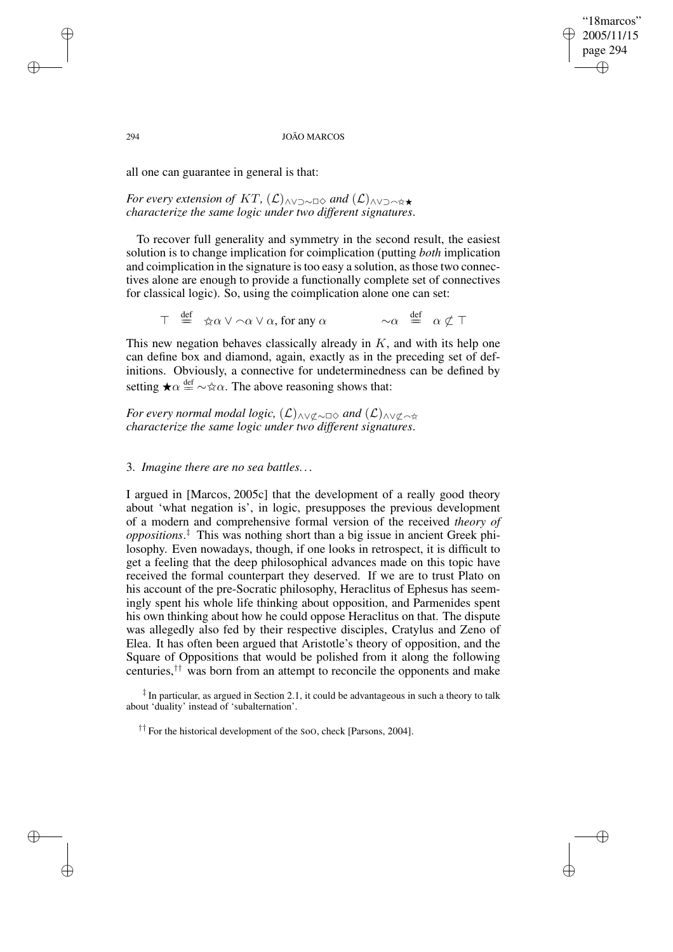### "18marcos" 2005/11/15 page 294 ✐ ✐

✐

✐

#### 294 JOÃO MARCOS

all one can guarantee in general is that:

*For every extension of KT,*  $(L)$ <sub>∧∨⊃∼</sub> $\alpha$ *and*  $(L)$ <sub>∧∨⊃へ☆★</sub> *characterize the same logic under two different signatures*.

To recover full generality and symmetry in the second result, the easiest solution is to change implication for coimplication (putting *both* implication and coimplication in the signature istoo easy a solution, asthose two connectives alone are enough to provide a functionally complete set of connectives for classical logic). So, using the coimplication alone one can set:

 $\top \stackrel{\text{def}}{=} \frac{\alpha \vee \alpha}{\alpha \vee \alpha}$ , for any  $\alpha$   $\sim \alpha$  $\sim \alpha \stackrel{\text{def}}{=} \alpha \not\subset \top$ 

This new negation behaves classically already in  $K$ , and with its help one can define box and diamond, again, exactly as in the preceding set of definitions. Obviously, a connective for undeterminedness can be defined by setting  $\star \alpha \stackrel{\text{def}}{=} \sim \star \alpha$ . The above reasoning shows that:

*For every normal modal logic,*  $(L)$ <sub>∧∨ $\sigma$ ∼□◇ *and*  $(L)$ <sub>∧∨ $\sigma$ </sub>  $\sim$ </sub> *characterize the same logic under two different signatures*.

## 3. *Imagine there are no sea battles. . .*

I argued in [Marcos, 2005c] that the development of a really good theory about 'what negation is', in logic, presupposes the previous development of a modern and comprehensive formal version of the received *theory of oppositions*. ‡ This was nothing short than a big issue in ancient Greek philosophy. Even nowadays, though, if one looks in retrospect, it is difficult to get a feeling that the deep philosophical advances made on this topic have received the formal counterpart they deserved. If we are to trust Plato on his account of the pre-Socratic philosophy, Heraclitus of Ephesus has seemingly spent his whole life thinking about opposition, and Parmenides spent his own thinking about how he could oppose Heraclitus on that. The dispute was allegedly also fed by their respective disciples, Cratylus and Zeno of Elea. It has often been argued that Aristotle's theory of opposition, and the Square of Oppositions that would be polished from it along the following centuries,†† was born from an attempt to reconcile the opponents and make

‡ In particular, as argued in Section 2.1, it could be advantageous in such a theory to talk about 'duality' instead of 'subalternation'.

†† For the historical development of the <sup>S</sup>oO, check [Parsons, 2004].

✐

✐

✐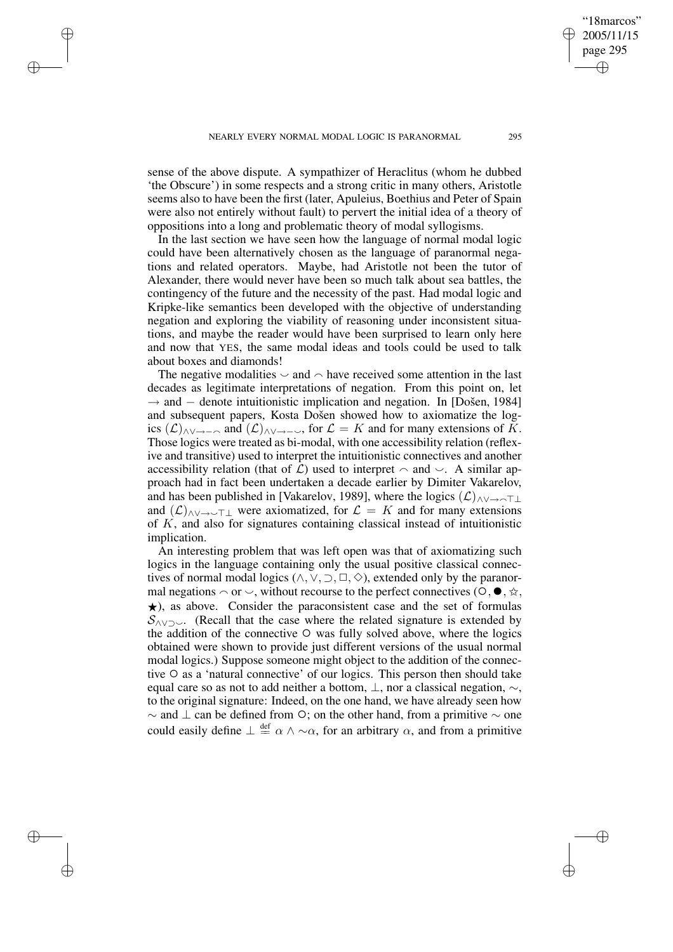✐

✐

✐

sense of the above dispute. A sympathizer of Heraclitus (whom he dubbed 'the Obscure') in some respects and a strong critic in many others, Aristotle seems also to have been the first (later, Apuleius, Boethius and Peter of Spain were also not entirely without fault) to pervert the initial idea of a theory of oppositions into a long and problematic theory of modal syllogisms.

In the last section we have seen how the language of normal modal logic could have been alternatively chosen as the language of paranormal negations and related operators. Maybe, had Aristotle not been the tutor of Alexander, there would never have been so much talk about sea battles, the contingency of the future and the necessity of the past. Had modal logic and Kripke-like semantics been developed with the objective of understanding negation and exploring the viability of reasoning under inconsistent situations, and maybe the reader would have been surprised to learn only here and now that YES, the same modal ideas and tools could be used to talk about boxes and diamonds!

The negative modalities  $\sim$  and  $\sim$  have received some attention in the last decades as legitimate interpretations of negation. From this point on, let  $\rightarrow$  and  $-$  denote intuitionistic implication and negation. In [Došen, 1984] and subsequent papers, Kosta Došen showed how to axiomatize the logics  $(\mathcal{L})$ <sub>∧∨→−∩</sub> and  $(\mathcal{L})$ <sub>∧∨→−√</sub>, for  $\mathcal{L} = K$  and for many extensions of K. Those logics were treated as bi-modal, with one accessibility relation (reflexive and transitive) used to interpret the intuitionistic connectives and another accessibility relation (that of  $\mathcal{L}$ ) used to interpret  $\sim$  and  $\sim$ . A similar approach had in fact been undertaken a decade earlier by Dimiter Vakarelov, and has been published in [Vakarelov, 1989], where the logics  $(\mathcal{L})_{\land\lor\to\land\top\bot}$ and  $(L)$ <sub>∧∨→ $\rightarrow$ T were axiomatized, for  $\mathcal{L} = K$  and for many extensions</sub> of K, and also for signatures containing classical instead of intuitionistic implication.

An interesting problem that was left open was that of axiomatizing such logics in the language containing only the usual positive classical connectives of normal modal logics ( $\land$ ,  $\lor$ ,  $\supset$ ,  $\Box$ ,  $\Diamond$ ), extended only by the paranormal negations  $\sim$  or  $\sim$ , without recourse to the perfect connectives ( $\circ$ ,  $\bullet$ ,  $\star$ ,  $\star$ ) as above. Consider the paraconsistent case and the set of formulas  $\star$ ), as above. Consider the paraconsistent case and the set of formulas  $S_{\wedge \vee \supset \vee}$ . (Recall that the case where the related signature is extended by the addition of the connective  $\circ$  was fully solved above, where the logics obtained were shown to provide just different versions of the usual normal modal logics.) Suppose someone might object to the addition of the connective  $\circ$  as a 'natural connective' of our logics. This person then should take equal care so as not to add neither a bottom,  $\bot$ , nor a classical negation,  $\sim$ , to the original signature: Indeed, on the one hand, we have already seen how  $\sim$  and  $\perp$  can be defined from  $\circ$ ; on the other hand, from a primitive  $\sim$  one could easily define  $\perp \stackrel{\text{def}}{=} \alpha \wedge \sim \alpha$ , for an arbitrary  $\alpha$ , and from a primitive

"18marcos" 2005/11/15 page 295

✐

✐

✐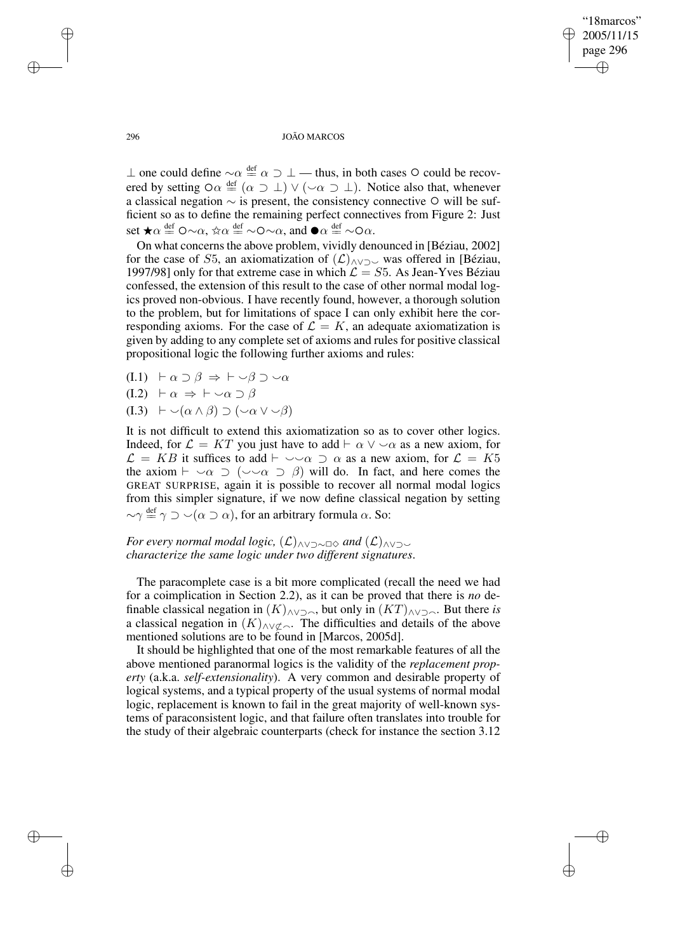✐

#### 296 JOÃO MARCOS

 $\perp$  one could define  $\sim \alpha \stackrel{\text{def}}{=} \alpha \supset \perp$  — thus, in both cases ○ could be recovered by setting  $\circ \alpha \triangleq (\alpha \supset \bot) \vee (\sim \alpha \supset \bot)$ . Notice also that, whenever a classical negation  $\sim$  is present, the consistency connective  $\circ$  will be sufficient so as to define the remaining perfect connectives from Figure 2: Just set  $\star \alpha \stackrel{\text{def}}{=} \mathsf{O} \sim \alpha$ ,  $\star \alpha \stackrel{\text{def}}{=} \sim \mathsf{O} \sim \alpha$ , and  $\bullet \alpha \stackrel{\text{def}}{=} \sim \mathsf{O} \alpha$ .<br>On what concerns the above problem wividly den

On what concerns the above problem, vividly denounced in [Béziau, 2002] for the case of S5, an axiomatization of  $(\mathcal{L})_{\land\lor\supset\mathcal{L}}$  was offered in [Béziau, 1997/98] only for that extreme case in which  $\mathcal{L} = S5$ . As Jean-Yves Béziau confessed, the extension of this result to the case of other normal modal logics proved non-obvious. I have recently found, however, a thorough solution to the problem, but for limitations of space I can only exhibit here the corresponding axioms. For the case of  $\mathcal{L} = K$ , an adequate axiomatization is given by adding to any complete set of axioms and rules for positive classical propositional logic the following further axioms and rules:

- (I.1)  $\vdash \alpha \supset \beta \Rightarrow \vdash \neg \beta \supset \neg \alpha$
- $(I.2) \vdash \alpha \Rightarrow \vdash \neg \alpha \supset \beta$
- $(I.3) \vdash \neg(\alpha \wedge \beta) \supset (\neg \alpha \vee \neg \beta)$

It is not difficult to extend this axiomatization so as to cover other logics. Indeed, for  $\mathcal{L} = KT$  you just have to add  $\vdash \alpha \lor \neg \alpha$  as a new axiom, for  $\mathcal{L} = KB$  it suffices to add  $\vdash \neg \neg \alpha \supset \alpha$  as a new axiom, for  $\mathcal{L} = K5$ the axiom  $\vdash \neg \alpha \supset (\neg \neg \alpha \supset \beta)$  will do. In fact, and here comes the GREAT SURPRISE, again it is possible to recover all normal modal logics from this simpler signature, if we now define classical negation by setting  $\sim \gamma \stackrel{\text{def}}{=} \gamma \supset \sim (\alpha \supset \alpha)$ , for an arbitrary formula  $\alpha$ . So:

*For every normal modal logic,*  $(L)$ <sub>∧∨⊃∼□</sub> *and*  $(L)$ <sub>∧∨⊃∼</sub> *characterize the same logic under two different signatures*.

The paracomplete case is a bit more complicated (recall the need we had for a coimplication in Section 2.2), as it can be proved that there is *no* definable classical negation in  $(K)$ <sub>∧∨⊃∩</sub>, but only in  $(KT)$ <sub>∧∨⊃∩</sub>. But there *is* a classical negation in  $(K)_{\land\lor\lor\lor\sim\land}$ . The difficulties and details of the above mentioned solutions are to be found in [Marcos, 2005d].

It should be highlighted that one of the most remarkable features of all the above mentioned paranormal logics is the validity of the *replacement property* (a.k.a. *self-extensionality*). A very common and desirable property of logical systems, and a typical property of the usual systems of normal modal logic, replacement is known to fail in the great majority of well-known systems of paraconsistent logic, and that failure often translates into trouble for the study of their algebraic counterparts (check for instance the section 3.12

✐

✐

✐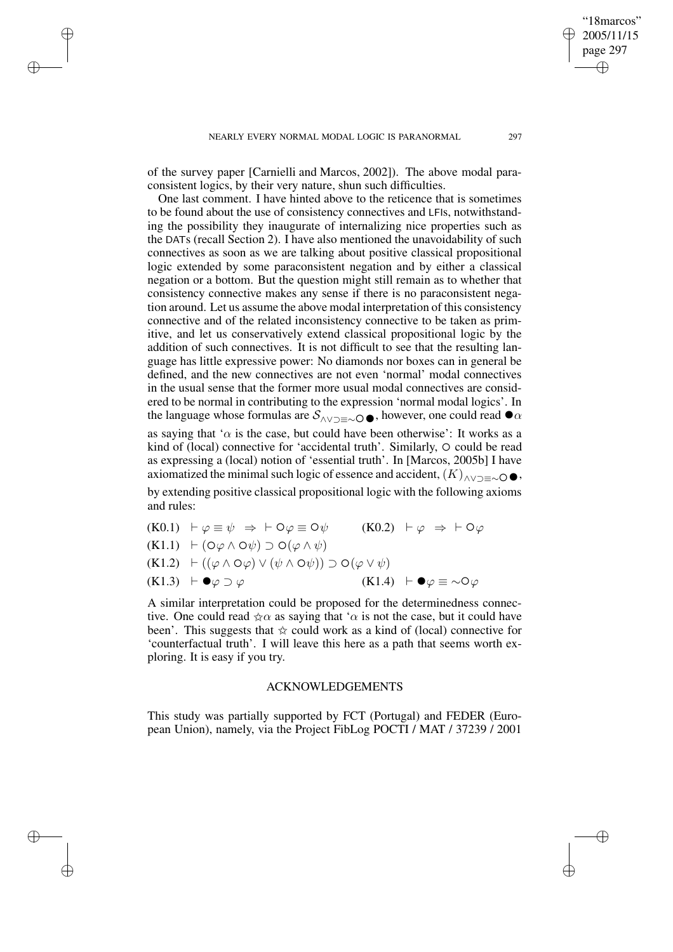✐

✐

✐

of the survey paper [Carnielli and Marcos, 2002]). The above modal paraconsistent logics, by their very nature, shun such difficulties.

One last comment. I have hinted above to the reticence that is sometimes to be found about the use of consistency connectives and LFIs, notwithstanding the possibility they inaugurate of internalizing nice properties such as the DATs (recall Section 2). I have also mentioned the unavoidability of such connectives as soon as we are talking about positive classical propositional logic extended by some paraconsistent negation and by either a classical negation or a bottom. But the question might still remain as to whether that consistency connective makes any sense if there is no paraconsistent negation around. Let us assume the above modal interpretation of this consistency connective and of the related inconsistency connective to be taken as primitive, and let us conservatively extend classical propositional logic by the addition of such connectives. It is not difficult to see that the resulting language has little expressive power: No diamonds nor boxes can in general be defined, and the new connectives are not even 'normal' modal connectives in the usual sense that the former more usual modal connectives are considered to be normal in contributing to the expression 'normal modal logics'. In the language whose formulas are  $S_{\land \lor \supset \equiv \sim \bigcirc \bigcirc \rightarrow}$ , however, one could read  $\bullet \alpha$ <br>as saying that ' $\alpha$  is the case, but could have been otherwise': It works as a as saying that ' $\alpha$  is the case, but could have been otherwise': It works as a kind of (local) connective for 'accidental truth'. Similarly,  $\circ$  could be read as expressing a (local) notion of 'essential truth'. In [Marcos, 2005b] I have

axiomatized the minimal such logic of essence and accident,  $(K)_{\land\lor\supset\equiv\sim} \bigcirc \bullet$ ,<br>by extending positive classical propositional logic with the following axioms by extending positive classical propositional logic with the following axioms and rules:

| $(K0.1)$ $\vdash \varphi \equiv \psi \Rightarrow \vdash \circ \varphi \equiv \circ \psi$                                  | $(K0.2)$ $\vdash \varphi \Rightarrow \vdash \circ \varphi$  |
|---------------------------------------------------------------------------------------------------------------------------|-------------------------------------------------------------|
| $(K1.1)$ $\vdash$ $(\bigcirc \varphi \land \bigcirc \psi) \supset \bigcirc (\varphi \land \psi)$                          |                                                             |
| $(K1.2)$ $\vdash ((\varphi \land \bigcirc \varphi) \lor (\psi \land \bigcirc \psi)) \supset \bigcirc (\varphi \lor \psi)$ |                                                             |
| $(K1.3) \vdash \bullet \varphi \supset \varphi$                                                                           | $(K1.4)$ $\vdash \bullet \varphi \equiv \sim \circ \varphi$ |
|                                                                                                                           |                                                             |

A similar interpretation could be proposed for the determinedness connective. One could read  $\forall \alpha$  as saying that ' $\alpha$  is not the case, but it could have been'. This suggests that  $\dot{\varphi}$  could work as a kind of (local) connective for 'counterfactual truth'. I will leave this here as a path that seems worth exploring. It is easy if you try.

## ACKNOWLEDGEMENTS

This study was partially supported by FCT (Portugal) and FEDER (European Union), namely, via the Project FibLog POCTI / MAT / 37239 / 2001

"18marcos" 2005/11/15 page 297

✐

✐

✐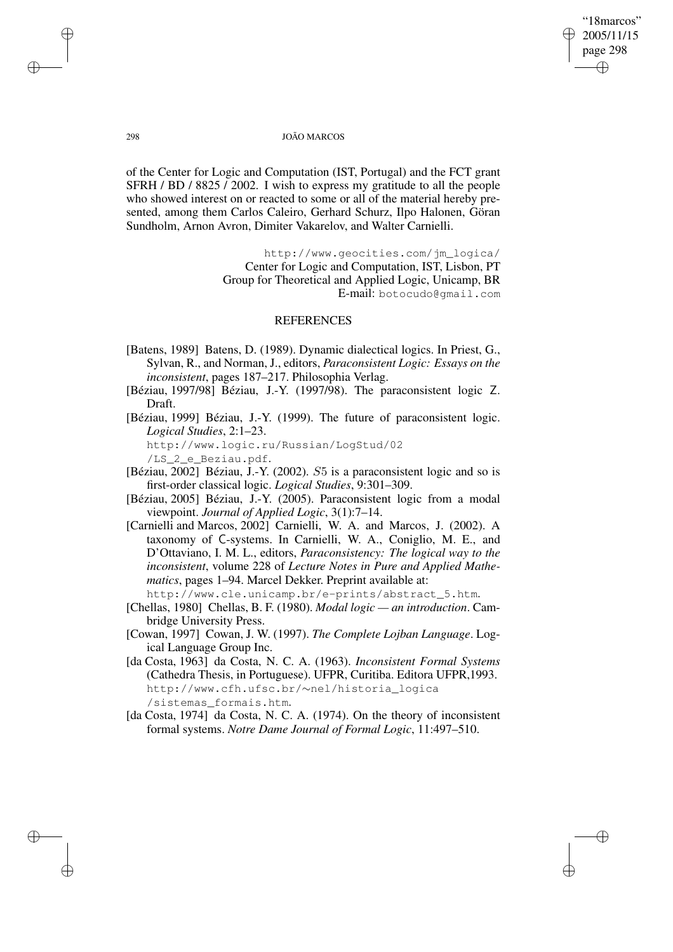## "18marcos" 2005/11/15 page 298 ✐ ✐

✐

✐

#### 298 JOÃO MARCOS

of the Center for Logic and Computation (IST, Portugal) and the FCT grant SFRH / BD / 8825 / 2002. I wish to express my gratitude to all the people who showed interest on or reacted to some or all of the material hereby presented, among them Carlos Caleiro, Gerhard Schurz, Ilpo Halonen, Göran Sundholm, Arnon Avron, Dimiter Vakarelov, and Walter Carnielli.

> http://www.geocities.com/jm\_logica/ Center for Logic and Computation, IST, Lisbon, PT Group for Theoretical and Applied Logic, Unicamp, BR E-mail: botocudo@gmail.com

# **REFERENCES**

- [Batens, 1989] Batens, D. (1989). Dynamic dialectical logics. In Priest, G., Sylvan, R., and Norman, J., editors, *Paraconsistent Logic: Essays on the inconsistent*, pages 187–217. Philosophia Verlag.
- [Béziau, 1997/98] Béziau, J.-Y. (1997/98). The paraconsistent logic Z. Draft.
- [Béziau, 1999] Béziau, J.-Y. (1999). The future of paraconsistent logic. *Logical Studies*, 2:1–23.

http://www.logic.ru/Russian/LogStud/02

/LS\_2\_e\_Beziau.pdf.

- [Béziau, 2002] Béziau, J.-Y. (2002). S5 is a paraconsistent logic and so is first-order classical logic. *Logical Studies*, 9:301–309.
- [Béziau, 2005] Béziau, J.-Y. (2005). Paraconsistent logic from a modal viewpoint. *Journal of Applied Logic*, 3(1):7–14.
- [Carnielli and Marcos, 2002] Carnielli, W. A. and Marcos, J. (2002). A taxonomy of C-systems. In Carnielli, W. A., Coniglio, M. E., and D'Ottaviano, I. M. L., editors, *Paraconsistency: The logical way to the inconsistent*, volume 228 of *Lecture Notes in Pure and Applied Mathematics*, pages 1–94. Marcel Dekker. Preprint available at:

http://www.cle.unicamp.br/e-prints/abstract\_5.htm.

- [Chellas, 1980] Chellas, B. F. (1980). *Modal logic — an introduction*. Cambridge University Press.
- [Cowan, 1997] Cowan, J. W. (1997). *The Complete Lojban Language*. Logical Language Group Inc.
- [da Costa, 1963] da Costa, N. C. A. (1963). *Inconsistent Formal Systems* (Cathedra Thesis, in Portuguese). UFPR, Curitiba. Editora UFPR,1993. http://www.cfh.ufsc.br/∼nel/historia\_logica /sistemas\_formais.htm.
- [da Costa, 1974] da Costa, N. C. A. (1974). On the theory of inconsistent formal systems. *Notre Dame Journal of Formal Logic*, 11:497–510.

✐

✐

✐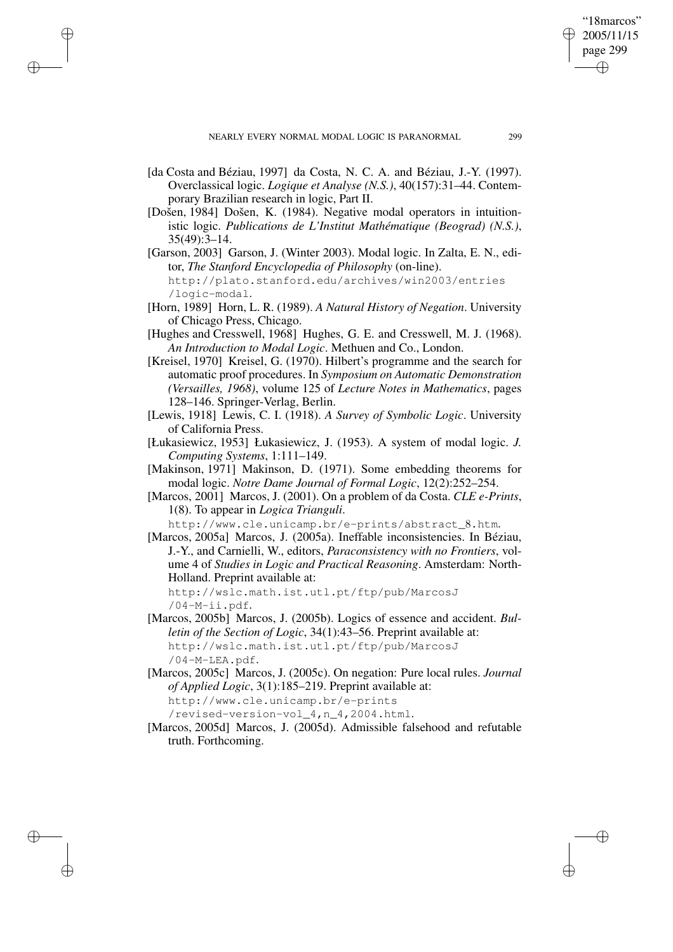✐

✐

✐

- [da Costa and Béziau, 1997] da Costa, N. C. A. and Béziau, J.-Y. (1997). Overclassical logic. *Logique et Analyse (N.S.)*, 40(157):31–44. Contemporary Brazilian research in logic, Part II.
- [Došen, 1984] Došen, K. (1984). Negative modal operators in intuitionistic logic. *Publications de L'Institut Mathématique (Beograd) (N.S.)*, 35(49):3–14.
- [Garson, 2003] Garson, J. (Winter 2003). Modal logic. In Zalta, E. N., editor, *The Stanford Encyclopedia of Philosophy* (on-line). http://plato.stanford.edu/archives/win2003/entries /logic-modal.
- [Horn, 1989] Horn, L. R. (1989). *A Natural History of Negation*. University of Chicago Press, Chicago.
- [Hughes and Cresswell, 1968] Hughes, G. E. and Cresswell, M. J. (1968). *An Introduction to Modal Logic*. Methuen and Co., London.
- [Kreisel, 1970] Kreisel, G. (1970). Hilbert's programme and the search for automatic proof procedures. In *Symposium on Automatic Demonstration (Versailles, 1968)*, volume 125 of *Lecture Notes in Mathematics*, pages 128–146. Springer-Verlag, Berlin.
- [Lewis, 1918] Lewis, C. I. (1918). *A Survey of Symbolic Logic*. University of California Press.
- [Łukasiewicz, 1953] Łukasiewicz, J. (1953). A system of modal logic. *J. Computing Systems*, 1:111–149.
- [Makinson, 1971] Makinson, D. (1971). Some embedding theorems for modal logic. *Notre Dame Journal of Formal Logic*, 12(2):252–254.
- [Marcos, 2001] Marcos, J. (2001). On a problem of da Costa. *CLE e-Prints*, 1(8). To appear in *Logica Trianguli*.

http://www.cle.unicamp.br/e-prints/abstract\_8.htm.

[Marcos, 2005a] Marcos, J. (2005a). Ineffable inconsistencies. In Béziau, J.-Y., and Carnielli, W., editors, *Paraconsistency with no Frontiers*, volume 4 of *Studies in Logic and Practical Reasoning*. Amsterdam: North-Holland. Preprint available at:

http://wslc.math.ist.utl.pt/ftp/pub/MarcosJ /04-M-ii.pdf.

[Marcos, 2005b] Marcos, J. (2005b). Logics of essence and accident. *Bulletin of the Section of Logic*, 34(1):43–56. Preprint available at: http://wslc.math.ist.utl.pt/ftp/pub/MarcosJ /04-M-LEA.pdf.

[Marcos, 2005c] Marcos, J. (2005c). On negation: Pure local rules. *Journal of Applied Logic*, 3(1):185–219. Preprint available at: http://www.cle.unicamp.br/e-prints

/revised-version-vol\_4,n\_4,2004.html.

[Marcos, 2005d] Marcos, J. (2005d). Admissible falsehood and refutable truth. Forthcoming.

"18marcos" 2005/11/15 page 299

✐

✐

✐